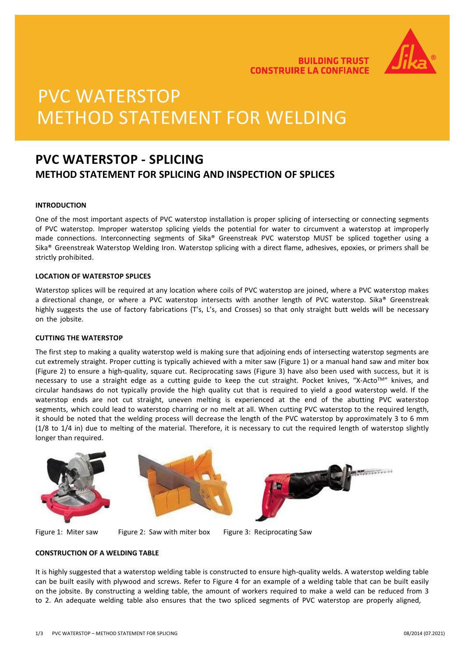

**BUILDING TRUST CONSTRUIRE LA CONFIANCE** 

# PVC WATERSTOP METHOD STATEMENT FOR WELDING

### **PVC WATERSTOP - SPLICING METHOD STATEMENT FOR SPLICING AND INSPECTION OF SPLICES**

#### **INTRODUCTION**

One of the most important aspects of PVC waterstop installation is proper splicing of intersecting or connecting segments of PVC waterstop. Improper waterstop splicing yields the potential for water to circumvent a waterstop at improperly made connections. Interconnecting segments of Sika® Greenstreak PVC waterstop MUST be spliced together using a Sika® Greenstreak Waterstop Welding Iron. Waterstop splicing with a direct flame, adhesives, epoxies, or primers shall be strictly prohibited.

#### **LOCATION OF WATERSTOP SPLICES**

Waterstop splices will be required at any location where coils of PVC waterstop are joined, where a PVC waterstop makes a directional change, or where a PVC waterstop intersects with another length of PVC waterstop. Sika® Greenstreak highly suggests the use of factory fabrications (T's, L's, and Crosses) so that only straight butt welds will be necessary on the jobsite.

#### **CUTTING THE WATERSTOP**

The first step to making a quality waterstop weld is making sure that adjoining ends of intersecting waterstop segments are cut extremely straight. Proper cutting is typically achieved with a miter saw (Figure 1) or a manual hand saw and miter box (Figure 2) to ensure a high-quality, square cut. Reciprocating saws (Figure 3) have also been used with success, but it is necessary to use a straight edge as a cutting guide to keep the cut straight. Pocket knives, "X-Acto<sup>TM</sup>" knives, and circular handsaws do not typically provide the high quality cut that is required to yield a good waterstop weld. If the waterstop ends are not cut straight, uneven melting is experienced at the end of the abutting PVC waterstop segments, which could lead to waterstop charring or no melt at all. When cutting PVC waterstop to the required length, it should be noted that the welding process will decrease the length of the PVC waterstop by approximately 3 to 6 mm (1/8 to 1/4 in) due to melting of the material. Therefore, it is necessary to cut the required length of waterstop slightly longer than required.







Figure 1: Miter saw Figure 2: Saw with miter box Figure 3: Reciprocating Saw

#### **CONSTRUCTION OF A WELDING TABLE**

It is highly suggested that a waterstop welding table is constructed to ensure high-quality welds. A waterstop welding table can be built easily with plywood and screws. Refer to Figure 4 for an example of a welding table that can be built easily on the jobsite. By constructing a welding table, the amount of workers required to make a weld can be reduced from 3 to 2. An adequate welding table also ensures that the two spliced segments of PVC waterstop are properly aligned,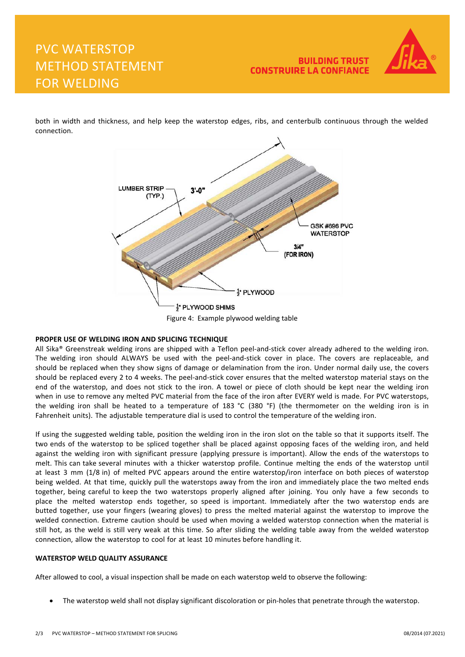## PVC WATERSTOP METHOD STATEMENT FOR WELDING



both in width and thickness, and help keep the waterstop edges, ribs, and centerbulb continuous through the welded connection.



Figure 4: Example plywood welding table

#### **PROPER USE OF WELDING IRON AND SPLICING TECHNIQUE**

All Sika® Greenstreak welding irons are shipped with a Teflon peel-and-stick cover already adhered to the welding iron. The welding iron should ALWAYS be used with the peel-and-stick cover in place. The covers are replaceable, and should be replaced when they show signs of damage or delamination from the iron. Under normal daily use, the covers should be replaced every 2 to 4 weeks. The peel-and-stick cover ensures that the melted waterstop material stays on the end of the waterstop, and does not stick to the iron. A towel or piece of cloth should be kept near the welding iron when in use to remove any melted PVC material from the face of the iron after EVERY weld is made. For PVC waterstops, the welding iron shall be heated to a temperature of 183 °C (380 °F) (the thermometer on the welding iron is in Fahrenheit units). The adjustable temperature dial is used to control the temperature of the welding iron.

If using the suggested welding table, position the welding iron in the iron slot on the table so that it supports itself. The two ends of the waterstop to be spliced together shall be placed against opposing faces of the welding iron, and held against the welding iron with significant pressure (applying pressure is important). Allow the ends of the waterstops to melt. This can take several minutes with a thicker waterstop profile. Continue melting the ends of the waterstop until at least 3 mm (1/8 in) of melted PVC appears around the entire waterstop/iron interface on both pieces of waterstop being welded. At that time, quickly pull the waterstops away from the iron and immediately place the two melted ends together, being careful to keep the two waterstops properly aligned after joining. You only have a few seconds to place the melted waterstop ends together, so speed is important. Immediately after the two waterstop ends are butted together, use your fingers (wearing gloves) to press the melted material against the waterstop to improve the welded connection. Extreme caution should be used when moving a welded waterstop connection when the material is still hot, as the weld is still very weak at this time. So after sliding the welding table away from the welded waterstop connection, allow the waterstop to cool for at least 10 minutes before handling it.

#### **WATERSTOP WELD QUALITY ASSURANCE**

After allowed to cool, a visual inspection shall be made on each waterstop weld to observe the following:

• The waterstop weld shall not display significant discoloration or pin-holes that penetrate through the waterstop.